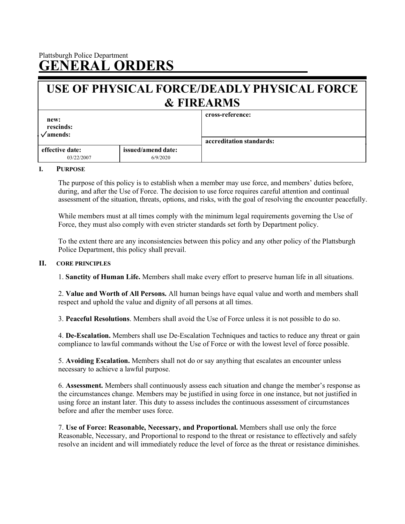# Plattsburgh Police Department **GENERAL ORDERS**

# **USE OF PHYSICAL FORCE/DEADLY PHYSICAL FORCE & FIREARMS**

| new:<br>rescinds:<br>$\sqrt{amends}$ : |                    | cross-reference:<br>accreditation standards: |
|----------------------------------------|--------------------|----------------------------------------------|
|                                        |                    |                                              |
| effective date:                        | issued/amend date: |                                              |
| 03/22/2007                             | 6/9/2020           |                                              |

#### **I. PURPOSE**

The purpose of this policy is to establish when a member may use force, and members' duties before, during, and after the Use of Force. The decision to use force requires careful attention and continual assessment of the situation, threats, options, and risks, with the goal of resolving the encounter peacefully.

While members must at all times comply with the minimum legal requirements governing the Use of Force, they must also comply with even stricter standards set forth by Department policy.

To the extent there are any inconsistencies between this policy and any other policy of the Plattsburgh Police Department, this policy shall prevail.

#### **II. CORE PRINCIPLES**

1. **Sanctity of Human Life.** Members shall make every effort to preserve human life in all situations.

2. **Value and Worth of All Persons.** All human beings have equal value and worth and members shall respect and uphold the value and dignity of all persons at all times.

3. **Peaceful Resolutions**. Members shall avoid the Use of Force unless it is not possible to do so.

4. **De-Escalation.** Members shall use De-Escalation Techniques and tactics to reduce any threat or gain compliance to lawful commands without the Use of Force or with the lowest level of force possible.

5. **Avoiding Escalation.** Members shall not do or say anything that escalates an encounter unless necessary to achieve a lawful purpose.

6. **Assessment.** Members shall continuously assess each situation and change the member's response as the circumstances change. Members may be justified in using force in one instance, but not justified in using force an instant later. This duty to assess includes the continuous assessment of circumstances before and after the member uses force.

7. **Use of Force: Reasonable, Necessary, and Proportional.** Members shall use only the force Reasonable, Necessary, and Proportional to respond to the threat or resistance to effectively and safely resolve an incident and will immediately reduce the level of force as the threat or resistance diminishes.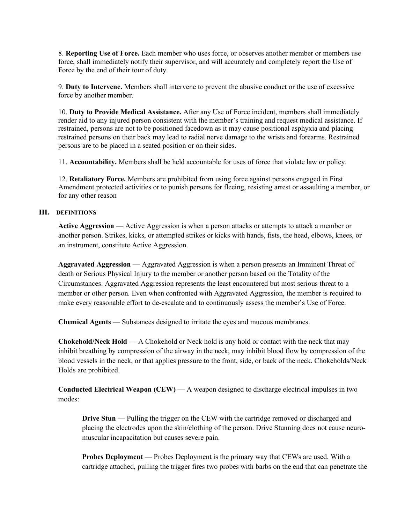8. **Reporting Use of Force.** Each member who uses force, or observes another member or members use force, shall immediately notify their supervisor, and will accurately and completely report the Use of Force by the end of their tour of duty.

9. **Duty to Intervene.** Members shall intervene to prevent the abusive conduct or the use of excessive force by another member.

10. **Duty to Provide Medical Assistance.** After any Use of Force incident, members shall immediately render aid to any injured person consistent with the member's training and request medical assistance. If restrained, persons are not to be positioned facedown as it may cause positional asphyxia and placing restrained persons on their back may lead to radial nerve damage to the wrists and forearms. Restrained persons are to be placed in a seated position or on their sides.

11. **Accountability.** Members shall be held accountable for uses of force that violate law or policy.

12. **Retaliatory Force.** Members are prohibited from using force against persons engaged in First Amendment protected activities or to punish persons for fleeing, resisting arrest or assaulting a member, or for any other reason

# **III. DEFINITIONS**

**Active Aggression** — Active Aggression is when a person attacks or attempts to attack a member or another person. Strikes, kicks, or attempted strikes or kicks with hands, fists, the head, elbows, knees, or an instrument, constitute Active Aggression.

**Aggravated Aggression** — Aggravated Aggression is when a person presents an Imminent Threat of death or Serious Physical Injury to the member or another person based on the Totality of the Circumstances. Aggravated Aggression represents the least encountered but most serious threat to a member or other person. Even when confronted with Aggravated Aggression, the member is required to make every reasonable effort to de-escalate and to continuously assess the member's Use of Force.

**Chemical Agents** — Substances designed to irritate the eyes and mucous membranes.

**Chokehold/Neck Hold** — A Chokehold or Neck hold is any hold or contact with the neck that may inhibit breathing by compression of the airway in the neck, may inhibit blood flow by compression of the blood vessels in the neck, or that applies pressure to the front, side, or back of the neck. Chokeholds/Neck Holds are prohibited.

**Conducted Electrical Weapon (CEW)** — A weapon designed to discharge electrical impulses in two modes:

**Drive Stun** — Pulling the trigger on the CEW with the cartridge removed or discharged and placing the electrodes upon the skin/clothing of the person. Drive Stunning does not cause neuromuscular incapacitation but causes severe pain.

**Probes Deployment** — Probes Deployment is the primary way that CEWs are used. With a cartridge attached, pulling the trigger fires two probes with barbs on the end that can penetrate the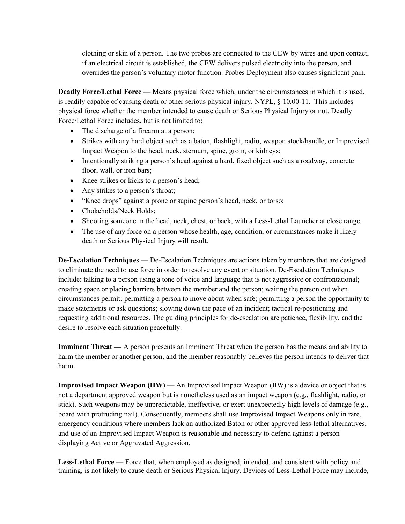clothing or skin of a person. The two probes are connected to the CEW by wires and upon contact, if an electrical circuit is established, the CEW delivers pulsed electricity into the person, and overrides the person's voluntary motor function. Probes Deployment also causes significant pain.

**Deadly Force/Lethal Force** — Means physical force which, under the circumstances in which it is used, is readily capable of causing death or other serious physical injury. NYPL, § 10.00-11. This includes physical force whether the member intended to cause death or Serious Physical Injury or not. Deadly Force/Lethal Force includes, but is not limited to:

- The discharge of a firearm at a person;
- Strikes with any hard object such as a baton, flashlight, radio, weapon stock/handle, or Improvised Impact Weapon to the head, neck, sternum, spine, groin, or kidneys;
- Intentionally striking a person's head against a hard, fixed object such as a roadway, concrete floor, wall, or iron bars;
- Knee strikes or kicks to a person's head;
- Any strikes to a person's throat;
- "Knee drops" against a prone or supine person's head, neck, or torso;
- Chokeholds/Neck Holds;
- Shooting someone in the head, neck, chest, or back, with a Less-Lethal Launcher at close range.
- The use of any force on a person whose health, age, condition, or circumstances make it likely death or Serious Physical Injury will result.

**De-Escalation Techniques** — De-Escalation Techniques are actions taken by members that are designed to eliminate the need to use force in order to resolve any event or situation. De-Escalation Techniques include: talking to a person using a tone of voice and language that is not aggressive or confrontational; creating space or placing barriers between the member and the person; waiting the person out when circumstances permit; permitting a person to move about when safe; permitting a person the opportunity to make statements or ask questions; slowing down the pace of an incident; tactical re-positioning and requesting additional resources. The guiding principles for de-escalation are patience, flexibility, and the desire to resolve each situation peacefully.

**Imminent Threat —** A person presents an Imminent Threat when the person has the means and ability to harm the member or another person, and the member reasonably believes the person intends to deliver that harm.

**Improvised Impact Weapon (IIW)** — An Improvised Impact Weapon (IIW) is a device or object that is not a department approved weapon but is nonetheless used as an impact weapon (e.g., flashlight, radio, or stick). Such weapons may be unpredictable, ineffective, or exert unexpectedly high levels of damage (e.g., board with protruding nail). Consequently, members shall use Improvised Impact Weapons only in rare, emergency conditions where members lack an authorized Baton or other approved less-lethal alternatives, and use of an Improvised Impact Weapon is reasonable and necessary to defend against a person displaying Active or Aggravated Aggression.

Less-Lethal Force — Force that, when employed as designed, intended, and consistent with policy and training, is not likely to cause death or Serious Physical Injury. Devices of Less-Lethal Force may include,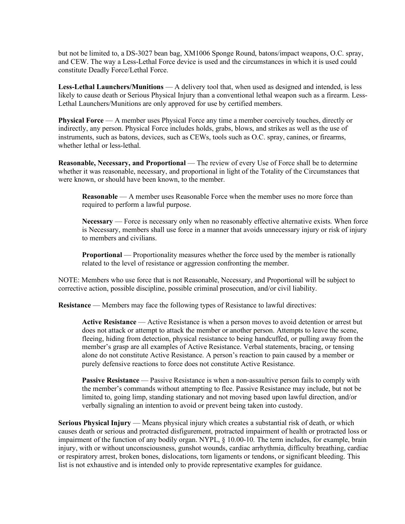but not be limited to, a DS-3027 bean bag, XM1006 Sponge Round, batons/impact weapons, O.C. spray, and CEW. The way a Less-Lethal Force device is used and the circumstances in which it is used could constitute Deadly Force/Lethal Force.

**Less-Lethal Launchers/Munitions** — A delivery tool that, when used as designed and intended, is less likely to cause death or Serious Physical Injury than a conventional lethal weapon such as a firearm. Less-Lethal Launchers/Munitions are only approved for use by certified members.

**Physical Force** — A member uses Physical Force any time a member coercively touches, directly or indirectly, any person. Physical Force includes holds, grabs, blows, and strikes as well as the use of instruments, such as batons, devices, such as CEWs, tools such as O.C. spray, canines, or firearms, whether lethal or less-lethal.

**Reasonable, Necessary, and Proportional** — The review of every Use of Force shall be to determine whether it was reasonable, necessary, and proportional in light of the Totality of the Circumstances that were known, or should have been known, to the member.

**Reasonable** — A member uses Reasonable Force when the member uses no more force than required to perform a lawful purpose.

**Necessary** — Force is necessary only when no reasonably effective alternative exists. When force is Necessary, members shall use force in a manner that avoids unnecessary injury or risk of injury to members and civilians.

**Proportional** — Proportionality measures whether the force used by the member is rationally related to the level of resistance or aggression confronting the member.

NOTE: Members who use force that is not Reasonable, Necessary, and Proportional will be subject to corrective action, possible discipline, possible criminal prosecution, and/or civil liability.

**Resistance** — Members may face the following types of Resistance to lawful directives:

**Active Resistance** — Active Resistance is when a person moves to avoid detention or arrest but does not attack or attempt to attack the member or another person. Attempts to leave the scene, fleeing, hiding from detection, physical resistance to being handcuffed, or pulling away from the member's grasp are all examples of Active Resistance. Verbal statements, bracing, or tensing alone do not constitute Active Resistance. A person's reaction to pain caused by a member or purely defensive reactions to force does not constitute Active Resistance.

**Passive Resistance** — Passive Resistance is when a non-assaultive person fails to comply with the member's commands without attempting to flee. Passive Resistance may include, but not be limited to, going limp, standing stationary and not moving based upon lawful direction, and/or verbally signaling an intention to avoid or prevent being taken into custody.

**Serious Physical Injury** — Means physical injury which creates a substantial risk of death, or which causes death or serious and protracted disfigurement, protracted impairment of health or protracted loss or impairment of the function of any bodily organ. NYPL, § 10.00-10. The term includes, for example, brain injury, with or without unconsciousness, gunshot wounds, cardiac arrhythmia, difficulty breathing, cardiac or respiratory arrest, broken bones, dislocations, torn ligaments or tendons, or significant bleeding. This list is not exhaustive and is intended only to provide representative examples for guidance.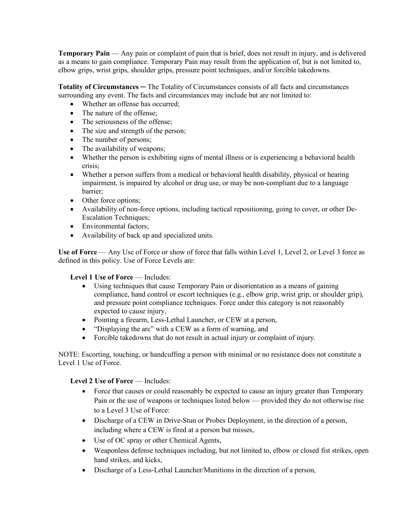**Temporary Pain** — Any pain or complaint of pain that is brief, does not result in injury, and is delivered as a means to gain compliance. Temporary Pain may result from the application of, but is not limited to, elbow grips, wrist grips, shoulder grips, pressure point techniques, and/or forcible takedowns.

**Totality of Circumstances** ─ The Totality of Circumstances consists of all facts and circumstances surrounding any event. The facts and circumstances may include but are not limited to:

- Whether an offense has occurred;
- The nature of the offense;
- The seriousness of the offense;
- The size and strength of the person;
- The number of persons;
- The availability of weapons;
- Whether the person is exhibiting signs of mental illness or is experiencing a behavioral health crisis;
- Whether a person suffers from a medical or behavioral health disability, physical or hearing impairment, is impaired by alcohol or drug use, or may be non-compliant due to a language barrier;
- Other force options;
- Availability of non-force options, including tactical repositioning, going to cover, or other De-Escalation Techniques;
- Environmental factors;
- Availability of back up and specialized units.

**Use of Force** — Any Use of Force or show of force that falls within Level 1, Level 2, or Level 3 force as defined in this policy. Use of Force Levels are:

# **Level 1 Use of Force** — Includes:

- Using techniques that cause Temporary Pain or disorientation as a means of gaining compliance, hand control or escort techniques (e.g., elbow grip, wrist grip, or shoulder grip), and pressure point compliance techniques. Force under this category is not reasonably expected to cause injury,
- Pointing a firearm, Less-Lethal Launcher, or CEW at a person,
- "Displaying the arc" with a CEW as a form of warning, and
- Forcible takedowns that do not result in actual injury or complaint of injury.

NOTE: Escorting, touching, or handcuffing a person with minimal or no resistance does not constitute a Level 1 Use of Force.

# **Level 2 Use of Force** — Includes:

- Force that causes or could reasonably be expected to cause an injury greater than Temporary Pain or the use of weapons or techniques listed below — provided they do not otherwise rise to a Level 3 Use of Force:
- Discharge of a CEW in Drive-Stun or Probes Deployment, in the direction of a person, including where a CEW is fired at a person but misses,
- Use of OC spray or other Chemical Agents,
- Weaponless defense techniques including, but not limited to, elbow or closed fist strikes, open hand strikes, and kicks,
- Discharge of a Less-Lethal Launcher/Munitions in the direction of a person,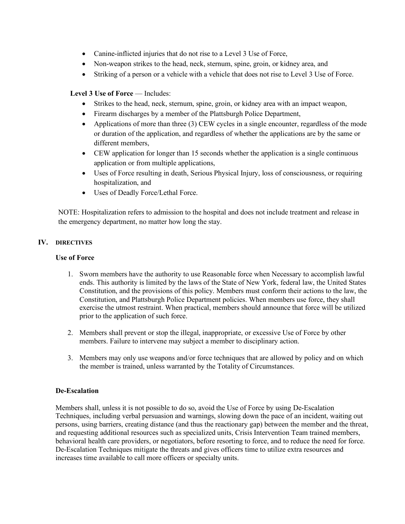- Canine-inflicted injuries that do not rise to a Level 3 Use of Force,
- Non-weapon strikes to the head, neck, sternum, spine, groin, or kidney area, and
- Striking of a person or a vehicle with a vehicle that does not rise to Level 3 Use of Force.

# **Level 3 Use of Force** — Includes:

- Strikes to the head, neck, sternum, spine, groin, or kidney area with an impact weapon,
- Firearm discharges by a member of the Plattsburgh Police Department,
- Applications of more than three (3) CEW cycles in a single encounter, regardless of the mode or duration of the application, and regardless of whether the applications are by the same or different members,
- CEW application for longer than 15 seconds whether the application is a single continuous application or from multiple applications,
- Uses of Force resulting in death, Serious Physical Injury, loss of consciousness, or requiring hospitalization, and
- Uses of Deadly Force/Lethal Force.

NOTE: Hospitalization refers to admission to the hospital and does not include treatment and release in the emergency department, no matter how long the stay.

# **IV. DIRECTIVES**

# **Use of Force**

- 1. Sworn members have the authority to use Reasonable force when Necessary to accomplish lawful ends. This authority is limited by the laws of the State of New York, federal law, the United States Constitution, and the provisions of this policy. Members must conform their actions to the law, the Constitution, and Plattsburgh Police Department policies. When members use force, they shall exercise the utmost restraint. When practical, members should announce that force will be utilized prior to the application of such force.
- 2. Members shall prevent or stop the illegal, inappropriate, or excessive Use of Force by other members. Failure to intervene may subject a member to disciplinary action.
- 3. Members may only use weapons and/or force techniques that are allowed by policy and on which the member is trained, unless warranted by the Totality of Circumstances.

# **De-Escalation**

Members shall, unless it is not possible to do so, avoid the Use of Force by using De-Escalation Techniques, including verbal persuasion and warnings, slowing down the pace of an incident, waiting out persons, using barriers, creating distance (and thus the reactionary gap) between the member and the threat, and requesting additional resources such as specialized units, Crisis Intervention Team trained members, behavioral health care providers, or negotiators, before resorting to force, and to reduce the need for force. De-Escalation Techniques mitigate the threats and gives officers time to utilize extra resources and increases time available to call more officers or specialty units.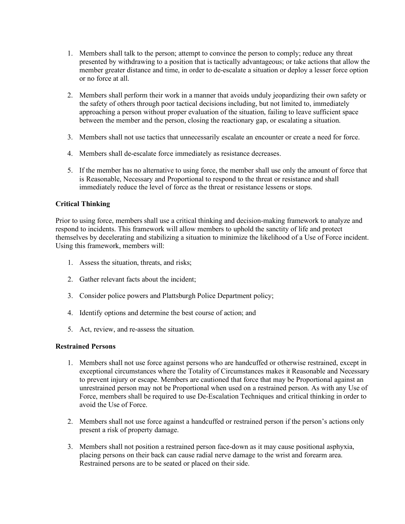- 1. Members shall talk to the person; attempt to convince the person to comply; reduce any threat presented by withdrawing to a position that is tactically advantageous; or take actions that allow the member greater distance and time, in order to de-escalate a situation or deploy a lesser force option or no force at all.
- 2. Members shall perform their work in a manner that avoids unduly jeopardizing their own safety or the safety of others through poor tactical decisions including, but not limited to, immediately approaching a person without proper evaluation of the situation, failing to leave sufficient space between the member and the person, closing the reactionary gap, or escalating a situation.
- 3. Members shall not use tactics that unnecessarily escalate an encounter or create a need for force.
- 4. Members shall de-escalate force immediately as resistance decreases.
- 5. If the member has no alternative to using force, the member shall use only the amount of force that is Reasonable, Necessary and Proportional to respond to the threat or resistance and shall immediately reduce the level of force as the threat or resistance lessens or stops.

# **Critical Thinking**

Prior to using force, members shall use a critical thinking and decision-making framework to analyze and respond to incidents. This framework will allow members to uphold the sanctity of life and protect themselves by decelerating and stabilizing a situation to minimize the likelihood of a Use of Force incident. Using this framework, members will:

- 1. Assess the situation, threats, and risks;
- 2. Gather relevant facts about the incident;
- 3. Consider police powers and Plattsburgh Police Department policy;
- 4. Identify options and determine the best course of action; and
- 5. Act, review, and re-assess the situation.

#### **Restrained Persons**

- 1. Members shall not use force against persons who are handcuffed or otherwise restrained, except in exceptional circumstances where the Totality of Circumstances makes it Reasonable and Necessary to prevent injury or escape. Members are cautioned that force that may be Proportional against an unrestrained person may not be Proportional when used on a restrained person. As with any Use of Force, members shall be required to use De-Escalation Techniques and critical thinking in order to avoid the Use of Force.
- 2. Members shall not use force against a handcuffed or restrained person if the person's actions only present a risk of property damage.
- 3. Members shall not position a restrained person face-down as it may cause positional asphyxia, placing persons on their back can cause radial nerve damage to the wrist and forearm area. Restrained persons are to be seated or placed on their side.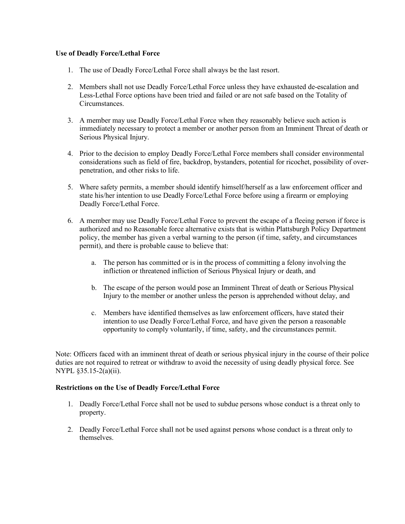# **Use of Deadly Force/Lethal Force**

- 1. The use of Deadly Force/Lethal Force shall always be the last resort.
- 2. Members shall not use Deadly Force/Lethal Force unless they have exhausted de-escalation and Less-Lethal Force options have been tried and failed or are not safe based on the Totality of Circumstances.
- 3. A member may use Deadly Force/Lethal Force when they reasonably believe such action is immediately necessary to protect a member or another person from an Imminent Threat of death or Serious Physical Injury.
- 4. Prior to the decision to employ Deadly Force/Lethal Force members shall consider environmental considerations such as field of fire, backdrop, bystanders, potential for ricochet, possibility of overpenetration, and other risks to life.
- 5. Where safety permits, a member should identify himself/herself as a law enforcement officer and state his/her intention to use Deadly Force/Lethal Force before using a firearm or employing Deadly Force/Lethal Force.
- 6. A member may use Deadly Force/Lethal Force to prevent the escape of a fleeing person if force is authorized and no Reasonable force alternative exists that is within Plattsburgh Policy Department policy, the member has given a verbal warning to the person (if time, safety, and circumstances permit), and there is probable cause to believe that:
	- a. The person has committed or is in the process of committing a felony involving the infliction or threatened infliction of Serious Physical Injury or death, and
	- b. The escape of the person would pose an Imminent Threat of death or Serious Physical Injury to the member or another unless the person is apprehended without delay, and
	- c. Members have identified themselves as law enforcement officers, have stated their intention to use Deadly Force/Lethal Force, and have given the person a reasonable opportunity to comply voluntarily, if time, safety, and the circumstances permit.

Note: Officers faced with an imminent threat of death or serious physical injury in the course of their police duties are not required to retreat or withdraw to avoid the necessity of using deadly physical force. See NYPL §35.15-2(a)(ii).

# **Restrictions on the Use of Deadly Force/Lethal Force**

- 1. Deadly Force/Lethal Force shall not be used to subdue persons whose conduct is a threat only to property.
- 2. Deadly Force/Lethal Force shall not be used against persons whose conduct is a threat only to themselves.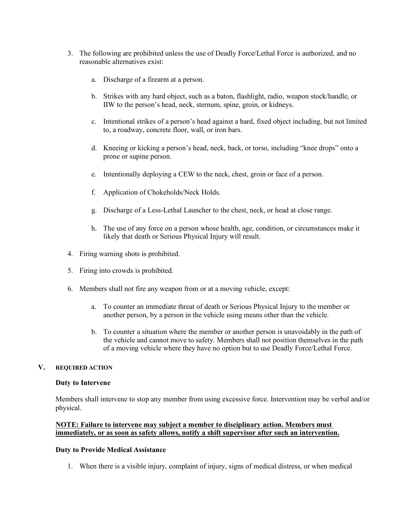- 3. The following are prohibited unless the use of Deadly Force/Lethal Force is authorized, and no reasonable alternatives exist:
	- a. Discharge of a firearm at a person.
	- b. Strikes with any hard object, such as a baton, flashlight, radio, weapon stock/handle, or IIW to the person's head, neck, sternum, spine, groin, or kidneys.
	- c. Intentional strikes of a person's head against a hard, fixed object including, but not limited to, a roadway, concrete floor, wall, or iron bars.
	- d. Kneeing or kicking a person's head, neck, back, or torso, including "knee drops" onto a prone or supine person.
	- e. Intentionally deploying a CEW to the neck, chest, groin or face of a person.
	- f. Application of Chokeholds/Neck Holds.
	- g. Discharge of a Less-Lethal Launcher to the chest, neck, or head at close range.
	- h. The use of any force on a person whose health, age, condition, or circumstances make it likely that death or Serious Physical Injury will result.
- 4. Firing warning shots is prohibited.
- 5. Firing into crowds is prohibited.
- 6. Members shall not fire any weapon from or at a moving vehicle, except:
	- a. To counter an immediate threat of death or Serious Physical Injury to the member or another person, by a person in the vehicle using means other than the vehicle.
	- b. To counter a situation where the member or another person is unavoidably in the path of the vehicle and cannot move to safety. Members shall not position themselves in the path of a moving vehicle where they have no option but to use Deadly Force/Lethal Force.

#### **V. REQUIRED ACTION**

#### **Duty to Intervene**

Members shall intervene to stop any member from using excessive force. Intervention may be verbal and/or physical.

#### **NOTE: Failure to intervene may subject a member to disciplinary action. Members must immediately, or as soon as safety allows, notify a shift supervisor after such an intervention.**

#### **Duty to Provide Medical Assistance**

1. When there is a visible injury, complaint of injury, signs of medical distress, or when medical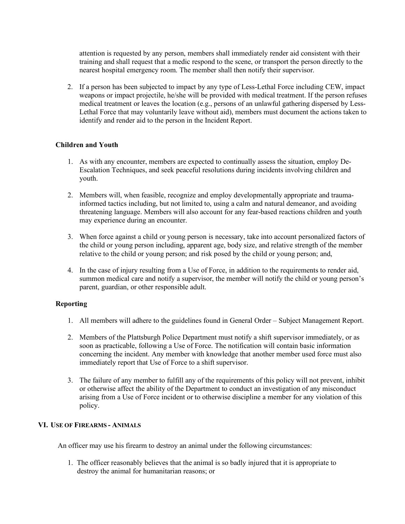attention is requested by any person, members shall immediately render aid consistent with their training and shall request that a medic respond to the scene, or transport the person directly to the nearest hospital emergency room. The member shall then notify their supervisor.

2. If a person has been subjected to impact by any type of Less-Lethal Force including CEW, impact weapons or impact projectile, he/she will be provided with medical treatment. If the person refuses medical treatment or leaves the location (e.g., persons of an unlawful gathering dispersed by Less-Lethal Force that may voluntarily leave without aid), members must document the actions taken to identify and render aid to the person in the Incident Report.

#### **Children and Youth**

- 1. As with any encounter, members are expected to continually assess the situation, employ De-Escalation Techniques, and seek peaceful resolutions during incidents involving children and youth.
- 2. Members will, when feasible, recognize and employ developmentally appropriate and traumainformed tactics including, but not limited to, using a calm and natural demeanor, and avoiding threatening language. Members will also account for any fear-based reactions children and youth may experience during an encounter.
- 3. When force against a child or young person is necessary, take into account personalized factors of the child or young person including, apparent age, body size, and relative strength of the member relative to the child or young person; and risk posed by the child or young person; and,
- 4. In the case of injury resulting from a Use of Force, in addition to the requirements to render aid, summon medical care and notify a supervisor, the member will notify the child or young person's parent, guardian, or other responsible adult.

#### **Reporting**

- 1. All members will adhere to the guidelines found in General Order Subject Management Report.
- 2. Members of the Plattsburgh Police Department must notify a shift supervisor immediately, or as soon as practicable, following a Use of Force. The notification will contain basic information concerning the incident. Any member with knowledge that another member used force must also immediately report that Use of Force to a shift supervisor.
- 3. The failure of any member to fulfill any of the requirements of this policy will not prevent, inhibit or otherwise affect the ability of the Department to conduct an investigation of any misconduct arising from a Use of Force incident or to otherwise discipline a member for any violation of this policy.

#### **VI. USE OF FIREARMS - ANIMALS**

An officer may use his firearm to destroy an animal under the following circumstances:

1. The officer reasonably believes that the animal is so badly injured that it is appropriate to destroy the animal for humanitarian reasons; or